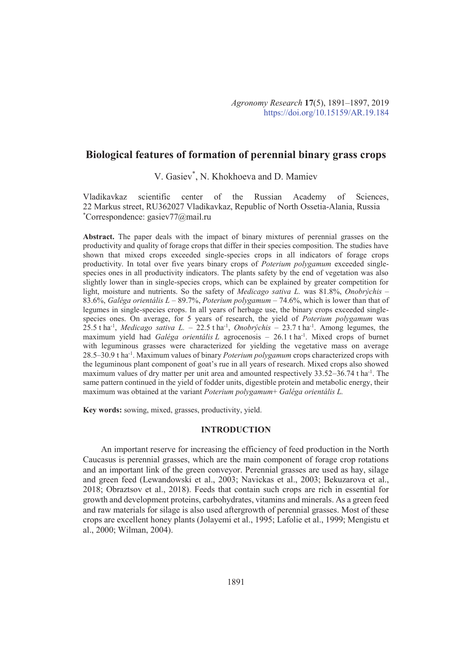# **Biological features of formation of perennial binary grass crops**

V. Gasiev\* , N. Khokhoeva and D. Mamiev

Vladikavkaz scientific center of the Russian Academy of Sciences, 22 Markus street, RU362027 Vladikavkaz, Republic of North Ossetia-Alania, Russia \*Correspondence: gasiev77@mail.ru

**Abstract.** The paper deals with the impact of binary mixtures of perennial grasses on the productivity and quality of forage crops that differ in their species composition. The studies have shown that mixed crops exceeded single-species crops in all indicators of forage crops productivity. In total over five years binary crops of *Poterium polygamum* exceeded singlespecies ones in all productivity indicators. The plants safety by the end of vegetation was also slightly lower than in single-species crops, which can be explained by greater competition for light, moisture and nutrients. So the safety of *Medicago sativa L.* was 81.8%, *Onobrýchis* – 83.6%, *Galéga orientális L* – 89.7%, *Poterium polygamum* – 74.6%, which is lower than that of legumes in single-species crops. In all years of herbage use, the binary crops exceeded singlespecies ones. On average, for 5 years of research, the yield of *Poterium polygamum* was 25.5 t ha-1 , *Medicago sativa L.* – 22.5 t ha-1 , *Onobrýchis* – 23.7 t ha-1. Among legumes, the maximum yield had *Galéga orientális L* agrocenosis – 26.1 t ha<sup>-1</sup>. Mixed crops of burnet with leguminous grasses were characterized for yielding the vegetative mass on average 28.5–30.9 t ha-1. Maximum values of binary *Poterium polygamum* crops characterized crops with the leguminous plant component of goat's rue in all years of research. Mixed crops also showed maximum values of dry matter per unit area and amounted respectively  $33.52-36.74$  t ha<sup>-1</sup>. The same pattern continued in the yield of fodder units, digestible protein and metabolic energy, their maximum was obtained at the variant *Poterium polygamum*+ *Galéga orientális L.*

**Key words:** sowing, mixed, grasses, productivity, yield.

### **INTRODUCTION**

An important reserve for increasing the efficiency of feed production in the North Caucasus is perennial grasses, which are the main component of forage crop rotations and an important link of the green conveyor. Perennial grasses are used as hay, silage and green feed (Lewandowski et al., 2003; Navickas et al., 2003; Bekuzarova et al., 2018; Obraztsov et al., 2018). Feeds that contain such crops are rich in essential for growth and development proteins, carbohydrates, vitamins and minerals. As a green feed and raw materials for silage is also used aftergrowth of perennial grasses. Most of these crops are excellent honey plants (Jolayemi et al., 1995; Lafolie et al., 1999; Mengistu et al., 2000; Wilman, 2004).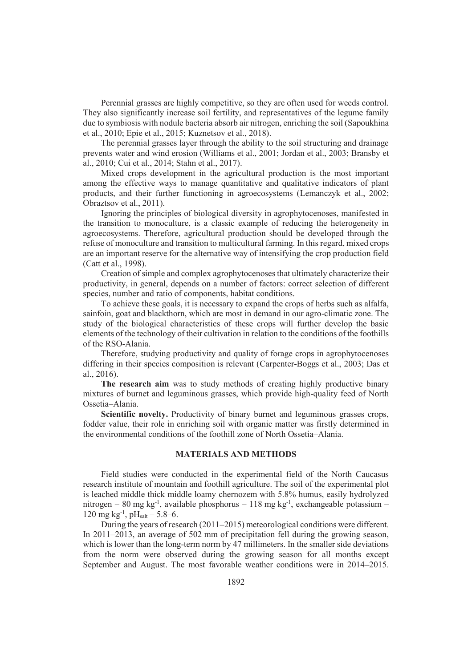Perennial grasses are highly competitive, so they are often used for weeds control. They also significantly increase soil fertility, and representatives of the legume family due to symbiosis with nodule bacteria absorb air nitrogen, enriching the soil (Sapoukhina et al., 2010; Epie et al., 2015; Kuznetsov et al., 2018).

The perennial grasses layer through the ability to the soil structuring and drainage prevents water and wind erosion (Williams et al., 2001; Jordan et al., 2003; Bransby et al., 2010; Cui et al., 2014; Stahn et al., 2017).

Mixed crops development in the agricultural production is the most important among the effective ways to manage quantitative and qualitative indicators of plant products, and their further functioning in agroecosystems (Lemanczyk et al., 2002; Obraztsov et al., 2011).

Ignoring the principles of biological diversity in agrophytocenoses, manifested in the transition to monoculture, is a classic example of reducing the heterogeneity in agroecosystems. Therefore, agricultural production should be developed through the refuse of monoculture and transition to multicultural farming. In this regard, mixed crops are an important reserve for the alternative way of intensifying the crop production field (Catt et al., 1998).

Creation of simple and complex agrophytocenoses that ultimately characterize their productivity, in general, depends on a number of factors: correct selection of different species, number and ratio of components, habitat conditions.

To achieve these goals, it is necessary to expand the crops of herbs such as alfalfa, sainfoin, goat and blackthorn, which are most in demand in our agro-climatic zone. The study of the biological characteristics of these crops will further develop the basic elements of the technology of their cultivation in relation to the conditions of the foothills of the RSO-Alania.

Therefore, studying productivity and quality of forage crops in agrophytocenoses differing in their species composition is relevant (Carpenter-Boggs et al., 2003; Das et al., 2016).

**The research aim** was to study methods of creating highly productive binary mixtures of burnet and leguminous grasses, which provide high-quality feed of North Ossetia–Alania.

**Scientific novelty.** Productivity of binary burnet and leguminous grasses crops, fodder value, their role in enriching soil with organic matter was firstly determined in the environmental conditions of the foothill zone of North Ossetia–Alania.

#### **MATERIALS AND METHODS**

Field studies were conducted in the experimental field of the North Caucasus research institute of mountain and foothill agriculture. The soil of the experimental plot is leached middle thick middle loamy chernozem with 5.8% humus, easily hydrolyzed nitrogen – 80 mg kg-1, available phosphorus – 118 mg kg-1, exchangeable potassium – 120 mg kg<sup>-1</sup>, pH<sub>salt</sub> – 5.8–6.

During the years of research (2011–2015) meteorological conditions were different. In 2011–2013, an average of 502 mm of precipitation fell during the growing season, which is lower than the long-term norm by 47 millimeters. In the smaller side deviations from the norm were observed during the growing season for all months except September and August. The most favorable weather conditions were in 2014–2015.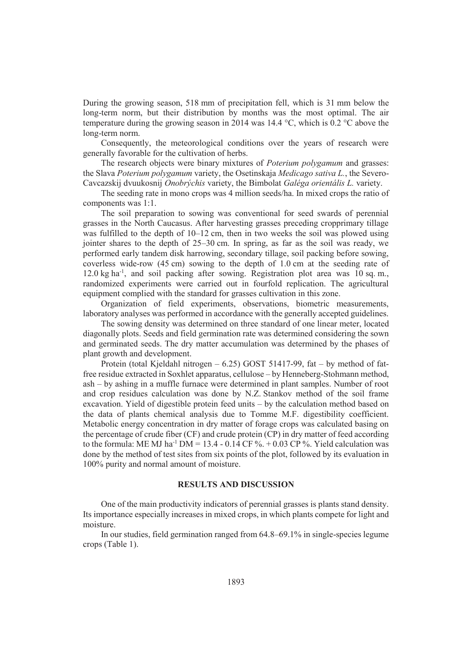During the growing season, 518 mm of precipitation fell, which is 31 mm below the long-term norm, but their distribution by months was the most optimal. The air temperature during the growing season in 2014 was 14.4  $\degree$ C, which is 0.2  $\degree$ C above the long-term norm.

Consequently, the meteorological conditions over the years of research were generally favorable for the cultivation of herbs.

The research objects were binary mixtures of *Poterium polygamum* and grasses: the Slava *Poterium polygamum* variety, the Osetinskaja *Medicago sativa L.*, the Severo-Cavcazskij dvuukosnij *Onobrýchis* variety, the Bimbolat *Galéga orientális L.* variety.

The seeding rate in mono crops was 4 million seeds/ha. In mixed crops the ratio of components was 1:1.

The soil preparation to sowing was conventional for seed swards of perennial grasses in the North Caucasus. After harvesting grasses preceding cropprimary tillage was fulfilled to the depth of 10–12 cm, then in two weeks the soil was plowed using jointer shares to the depth of 25–30 cm. In spring, as far as the soil was ready, we performed early tandem disk harrowing, secondary tillage, soil packing before sowing, coverless wide-row (45 cm) sowing to the depth of 1.0 cm at the seeding rate of 12.0 kg ha-1, and soil packing after sowing. Registration plot area was 10 sq. m., randomized experiments were carried out in fourfold replication. The agricultural equipment complied with the standard for grasses cultivation in this zone.

Organization of field experiments, observations, biometric measurements, laboratory analyses was performed in accordance with the generally accepted guidelines.

The sowing density was determined on three standard of one linear meter, located diagonally plots. Seeds and field germination rate was determined considering the sown and germinated seeds. The dry matter accumulation was determined by the phases of plant growth and development.

Protein (total Kjeldahl nitrogen – 6.25) GOST 51417-99, fat – by method of fatfree residue extracted in Soxhlet apparatus, cellulose – by Henneberg-Stohmann method, ash – by ashing in a muffle furnace were determined in plant samples. Number of root and crop residues calculation was done by N.Z. Stankov method of the soil frame excavation. Yield of digestible protein feed units – by the calculation method based on the data of plants chemical analysis due to Tomme M.F. digestibility coefficient. Metabolic energy concentration in dry matter of forage crops was calculated basing on the percentage of crude fiber (CF) and crude protein (CP) in dry matter of feed according to the formula: ME MJ ha<sup>-1</sup> DM = 13.4 - 0.14 CF %. + 0.03 CP %. Yield calculation was done by the method of test sites from six points of the plot, followed by its evaluation in 100% purity and normal amount of moisture.

### **RESULTS AND DISCUSSION**

One of the main productivity indicators of perennial grasses is plants stand density. Its importance especially increases in mixed crops, in which plants compete for light and moisture.

In our studies, field germination ranged from 64.8–69.1% in single-species legume crops (Table 1).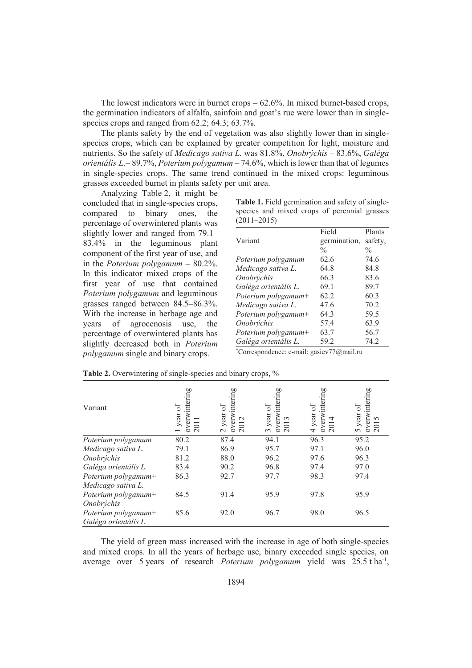The lowest indicators were in burnet crops – 62.6%. In mixed burnet-based crops, the germination indicators of alfalfa, sainfoin and goat's rue were lower than in singlespecies crops and ranged from 62.2; 64.3; 63.7%.

The plants safety by the end of vegetation was also slightly lower than in singlespecies crops, which can be explained by greater competition for light, moisture and nutrients. So the safety of *Medicago sativa L.* was 81.8%, *Onobrýchis* – 83.6%, *Galéga orientális L.*– 89.7%, *Poterium polygamum* – 74.6%, which is lower than that of legumes in single-species crops. The same trend continued in the mixed crops: leguminous grasses exceeded burnet in plants safety per unit area.

Analyzing Table 2, it might be concluded that in single-species crops, compared to binary ones, the percentage of overwintered plants was slightly lower and ranged from 79.1– 83.4% in the leguminous plant component of the first year of use, and in the *Poterium polygamum* – 80.2%. In this indicator mixed crops of the first year of use that contained *Poterium polygamum* and leguminous grasses ranged between 84.5–86.3%. With the increase in herbage age and years of agrocenosis use, the percentage of overwintered plants has slightly decreased both in *Poterium polygamum* single and binary crops.

|                 |  |  | Table 1. Field germination and safety of single- |  |
|-----------------|--|--|--------------------------------------------------|--|
|                 |  |  | species and mixed crops of perennial grasses     |  |
| $(2011 - 2015)$ |  |  |                                                  |  |

|                                | Field         | Plants        |
|--------------------------------|---------------|---------------|
| Variant                        | germination.  | safety,       |
|                                | $\frac{0}{0}$ | $\frac{0}{0}$ |
| Poterium polygamum             | 62.6          | 74.6          |
| Medicago sativa L.             | 64.8          | 84.8          |
| Onobrýchis                     | 66.3          | 83.6          |
| Galéga orientális L.           | 69.1          | 89.7          |
| Poterium polygamum+            | 62.2          | 60.3          |
| Medicago sativa L.             | 47.6          | 70.2          |
| Poterium polygamum+            | 64.3          | 59.5          |
| Onobrýchis                     | 57.4          | 63.9          |
| Poterium polygamum+            | 63.7          | 56.7          |
| Galéga orientális L.           | 59.2          | 74.2          |
| <b><i><u>ALCOHOLIA</u></i></b> |               |               |

\*Correspondence: e-mail: gasiev77@mail.ru

| Variant                                     | wintering<br>year<br>$\mathbf{\sim}$<br>$\circ$ | erwintering<br>year<br>0<br>$\sim$<br>$\sim$ | erwintering<br>year<br>$\circ$<br>$\mathbf{\sim}$<br>$\sim$ | erwintering<br>ð<br>year<br>Ō<br>4<br>$\sim$ | wintering<br>year<br>$\circ$<br>$\sim$<br>5 |
|---------------------------------------------|-------------------------------------------------|----------------------------------------------|-------------------------------------------------------------|----------------------------------------------|---------------------------------------------|
| Poterium polygamum                          | 80.2                                            | 87.4                                         | 94.1                                                        | 96.3                                         | 95.2                                        |
| Medicago sativa L.                          | 79.1                                            | 86.9                                         | 95.7                                                        | 97.1                                         | 96.0                                        |
| Onobrýchis                                  | 81.2                                            | 88.0                                         | 96.2                                                        | 97.6                                         | 96.3                                        |
| Galéga orientális L.                        | 83.4                                            | 90.2                                         | 96.8                                                        | 97.4                                         | 97.0                                        |
| Poterium polygamum+                         | 86.3                                            | 92.7                                         | 97.7                                                        | 98.3                                         | 97.4                                        |
| Medicago sativa L.                          |                                                 |                                              |                                                             |                                              |                                             |
| Poterium polygamum+                         | 84.5                                            | 91.4                                         | 95.9                                                        | 97.8                                         | 95.9                                        |
| Onobrýchis                                  |                                                 |                                              |                                                             |                                              |                                             |
| Poterium polygamum+<br>Galéga orientális L. | 85.6                                            | 92.0                                         | 96.7                                                        | 98.0                                         | 96.5                                        |

|  | Table 2. Overwintering of single-species and binary crops, % |  |
|--|--------------------------------------------------------------|--|
|  |                                                              |  |

The yield of green mass increased with the increase in age of both single-species and mixed crops. In all the years of herbage use, binary exceeded single species, on average over 5 years of research *Poterium polygamum* yield was 25.5 tha<sup>-1</sup>,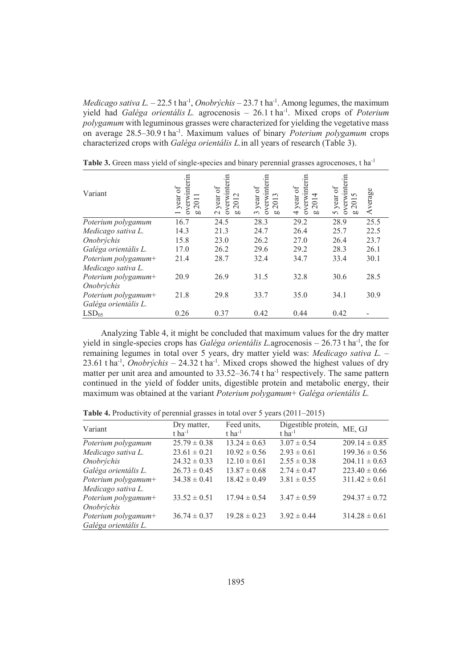*Medicago sativa L.*  $-22.5$  t ha<sup>-1</sup>, *Onobrýchis*  $-23.7$  t ha<sup>-1</sup>. Among legumes, the maximum yield had *Galéga orientális L.* agrocenosis – 26.1 t ha-1. Mixed crops of *Poterium polygamum* with leguminous grasses were characterized for yielding the vegetative mass on average 28.5–30.9 t ha-1. Maximum values of binary *Poterium polygamum* crops characterized crops with *Galéga orientális L.*in all years of research (Table 3).

| Variant              | erwinterin<br>ЪÓ<br>vear<br>5<br><b>b</b> | overwinterin<br>đ<br>012<br>year<br>$\sim$<br><b>b</b><br>$\overline{\mathcal{C}}$ | verwinterin<br>ð<br>$\epsilon$<br>year<br>៑<br>άO<br>$\circ$<br>$\sim$ | verwinterin<br>$\mathfrak{h}$<br>014<br>year<br>4<br><b>b</b><br>Ö | verwinterin<br>ЪÓ<br>5<br>year<br>5<br>$\bar{\sim}$<br><b>b</b><br>Ó<br>5 | Average |
|----------------------|-------------------------------------------|------------------------------------------------------------------------------------|------------------------------------------------------------------------|--------------------------------------------------------------------|---------------------------------------------------------------------------|---------|
| Poterium polygamum   | 16.7                                      | 24.5                                                                               | 28.3                                                                   | 29.2                                                               | 28.9                                                                      | 25.5    |
| Medicago sativa L.   | 14.3                                      | 21.3                                                                               | 24.7                                                                   | 26.4                                                               | 25.7                                                                      | 22.5    |
| Onobrýchis           | 15.8                                      | 23.0                                                                               | 26.2                                                                   | 27.0                                                               | 26.4                                                                      | 23.7    |
| Galéga orientális L. | 17.0                                      | 26.2                                                                               | 29.6                                                                   | 29.2                                                               | 28.3                                                                      | 26.1    |
| Poterium polygamum+  | 21.4                                      | 28.7                                                                               | 32.4                                                                   | 34.7                                                               | 33.4                                                                      | 30.1    |
| Medicago sativa L.   |                                           |                                                                                    |                                                                        |                                                                    |                                                                           |         |
| Poterium polygamum+  | 20.9                                      | 26.9                                                                               | 31.5                                                                   | 32.8                                                               | 30.6                                                                      | 28.5    |
| Onobrýchis           |                                           |                                                                                    |                                                                        |                                                                    |                                                                           |         |
| Poterium polygamum+  | 21.8                                      | 29.8                                                                               | 33.7                                                                   | 35.0                                                               | 34.1                                                                      | 30.9    |
| Galéga orientális L. |                                           |                                                                                    |                                                                        |                                                                    |                                                                           |         |
| LSD <sub>05</sub>    | 0.26                                      | 0.37                                                                               | 0.42                                                                   | 0.44                                                               | 0.42                                                                      |         |

**Table 3.** Green mass yield of single-species and binary perennial grasses agrocenoses, t ha<sup>-1</sup>

Analyzing Table 4, it might be concluded that maximum values for the dry matter yield in single-species crops has *Galéga orientális L.*agrocenosis – 26.73 t ha-1, the for remaining legumes in total over 5 years, dry matter yield was: *Medicago sativa L.* –  $23.61$  t ha<sup>-1</sup>, *Onobrýchis* –  $24.32$  t ha<sup>-1</sup>. Mixed crops showed the highest values of dry matter per unit area and amounted to  $33.52-36.74$  t ha<sup>-1</sup> respectively. The same pattern continued in the yield of fodder units, digestible protein and metabolic energy, their maximum was obtained at the variant *Poterium polygamum*+ *Galéga orientális L.*

**Table 4.** Productivity of perennial grasses in total over 5 years (2011–2015)

| Variant              | Dry matter,<br>$t$ ha <sup>-1</sup> | Feed units,<br>$t$ ha <sup>-1</sup> | Digestible protein,<br>$t$ ha <sup>-1</sup> | ME, GJ            |
|----------------------|-------------------------------------|-------------------------------------|---------------------------------------------|-------------------|
| Poterium polygamum   | $25.79 \pm 0.38$                    | $13.24 \pm 0.63$                    | $3.07 \pm 0.54$                             | $209.14 \pm 0.85$ |
| Medicago sativa L.   | $23.61 \pm 0.21$                    | $10.92 \pm 0.56$                    | $2.93 \pm 0.61$                             | $199.36 \pm 0.56$ |
| Onobrýchis           | $24.32 \pm 0.33$                    | $12.10 \pm 0.61$                    | $2.55 \pm 0.38$                             | $204.11 \pm 0.63$ |
| Galéga orientális L. | $26.73 \pm 0.45$                    | $13.87 \pm 0.68$                    | $2.74 \pm 0.47$                             | $223.40 \pm 0.66$ |
| Poterium polygamum+  | $34.38 \pm 0.41$                    | $18.42 \pm 0.49$                    | $3.81 \pm 0.55$                             | $311.42 \pm 0.61$ |
| Medicago sativa L.   |                                     |                                     |                                             |                   |
| Poterium polygamum+  | $33.52 \pm 0.51$                    | $17.94 \pm 0.54$                    | $3.47 \pm 0.59$                             | $294.37 \pm 0.72$ |
| Onobrýchis           |                                     |                                     |                                             |                   |
| Poterium polygamum+  | $36.74 \pm 0.37$                    | $19.28 \pm 0.23$                    | $3.92 \pm 0.44$                             | $314.28 \pm 0.61$ |
| Galéga orientális L. |                                     |                                     |                                             |                   |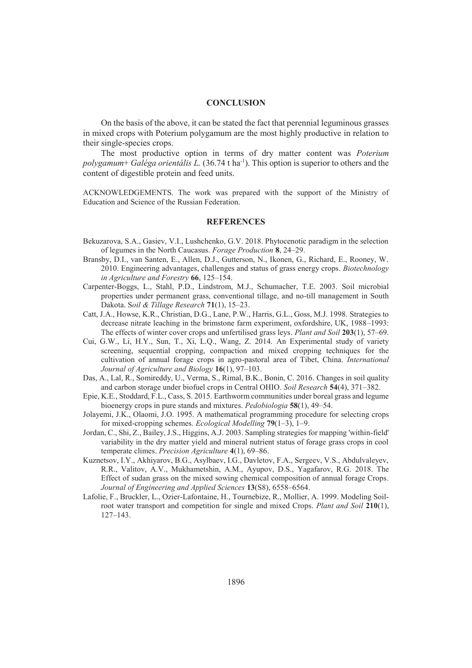#### **CONCLUSION**

On the basis of the above, it can be stated the fact that perennial leguminous grasses in mixed crops with Poterium polygamum are the most highly productive in relation to their single-species crops.

The most productive option in terms of dry matter content was *Poterium polygamum*+ *Galéga orientális L.* (36.74 t ha-1). This option is superior to others and the content of digestible protein and feed units.

ACKNOWLEDGEMENTS. The work was prepared with the support of the Ministry of Education and Science of the Russian Federation.

## **REFERENCES**

- Bekuzarova, S.A., Gasiev, V.I., Lushchenko, G.V. 2018. Phytocenotic paradigm in the selection of legumes in the North Caucasus. *Forage Production* **8**, 24–29.
- Bransby, D.I., van Santen, E., Allen, D.J., Gutterson, N., Ikonen, G., Richard, E., Rooney, W. 2010. Engineering advantages, challenges and status of grass energy crops. *Biotechnology in Agriculture and Forestry* **66**, 125–154.
- Carpenter-Boggs, L., Stahl, P.D., Lindstrom, M.J., Schumacher, T.E. 2003. Soil microbial properties under permanent grass, conventional tillage, and no-till management in South Dakota. S*oil & Tillage Research* **71**(1), 15–23.
- Catt, J.A., Howse, K.R., Christian, D.G., Lane, P.W., Harris, G.L., Goss, M.J. 1998. Strategies to decrease nitrate leaching in the brimstone farm experiment, oxfordshire, UK, 1988–1993: The effects of winter cover crops and unfertilised grass leys. *Plant and Soil* **203**(1), 57–69.
- Cui, G.W., Li, H.Y., Sun, T., Xi, L.Q., Wang, Z. 2014. An Experimental study of variety screening, sequential cropping, compaction and mixed cropping techniques for the cultivation of annual forage crops in agro-pastoral area of Tibet, China. *International Journal of Agriculture and Biology* **16**(1), 97–103.
- Das, A., Lal, R., Somireddy, U., Verma, S., Rimal, B.K., Bonin, C. 2016. Changes in soil quality and carbon storage under biofuel crops in Central OHIO. *Soil Research* **54**(4), 371–382.
- Epie, K.E., Stoddard, F.L., Cass, S. 2015. Earthworm communities under boreal grass and legume bioenergy crops in pure stands and mixtures. *Pedobiologia* **58**(1), 49–54.
- Jolayemi, J.K., Olaomi, J.O. 1995. A mathematical programming procedure for selecting crops for mixed-cropping schemes. *Ecological Modelling* **79**(1–3), 1–9.
- Jordan, C., Shi, Z., Bailey, J.S., Higgins, A.J. 2003. Sampling strategies for mapping 'within-field' variability in the dry matter yield and mineral nutrient status of forage grass crops in cool temperate climes. *Precision Agriculture* **4**(1), 69–86.
- Kuznetsov, I.Y., Akhiyarov, B.G., Asylbaev, I.G., Davletov, F.A., Sergeev, V.S., Abdulvaleyev, R.R., Valitov, A.V., Mukhametshin, A.M., Ayupov, D.S., Yagafarov, R.G. 2018. The Effect of sudan grass on the mixed sowing chemical composition of annual forage Crops. *Journal of Engineering and Applied Sciences* **13**(S8), 6558–6564.
- Lafolie, F., Bruckler, L., Ozier-Lafontaine, H., Tournebize, R., Mollier, A. 1999. Modeling Soilroot water transport and competition for single and mixed Crops. *Plant and Soil* **210**(1), 127–143.